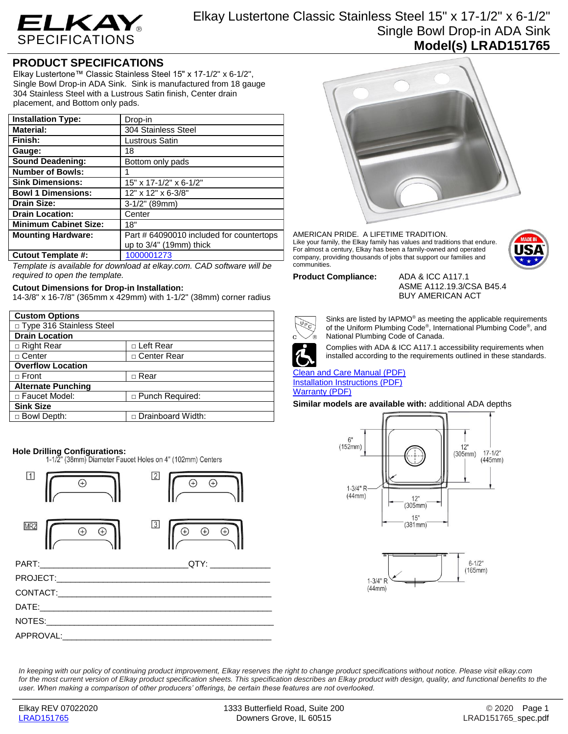

# Elkay Lustertone Classic Stainless Steel 15" x 17-1/2" x 6-1/2" Single Bowl Drop-in ADA Sink **Model(s) LRAD151765**

## **PRODUCT SPECIFICATIONS**

Elkay Lustertone™ Classic Stainless Steel 15" x 17-1/2" x 6-1/2", Single Bowl Drop-in ADA Sink. Sink is manufactured from 18 gauge 304 Stainless Steel with a Lustrous Satin finish, Center drain placement, and Bottom only pads.

| <b>Installation Type:</b>    | Drop-in                                  |
|------------------------------|------------------------------------------|
| <b>Material:</b>             | 304 Stainless Steel                      |
| Finish:                      | Lustrous Satin                           |
| Gauge:                       | 18                                       |
| <b>Sound Deadening:</b>      | Bottom only pads                         |
| <b>Number of Bowls:</b>      |                                          |
| <b>Sink Dimensions:</b>      | 15" x 17-1/2" x 6-1/2"                   |
| <b>Bowl 1 Dimensions:</b>    | 12" x 12" x 6-3/8"                       |
| <b>Drain Size:</b>           | 3-1/2" (89mm)                            |
| <b>Drain Location:</b>       | Center                                   |
| <b>Minimum Cabinet Size:</b> | 18"                                      |
| <b>Mounting Hardware:</b>    | Part # 64090010 included for countertops |
|                              | up to $3/4$ " (19mm) thick               |
| <b>Cutout Template #:</b>    | 1000001273                               |

*Template is available for download at elkay.com. CAD software will be required to open the template.*

## **Cutout Dimensions for Drop-in Installation:**

14-3/8" x 16-7/8" (365mm x 429mm) with 1-1/2" (38mm) corner radius

| <b>Custom Options</b>      |                        |
|----------------------------|------------------------|
| □ Type 316 Stainless Steel |                        |
| <b>Drain Location</b>      |                        |
| $\Box$ Right Rear          | □ Left Rear            |
| □ Center                   | □ Center Rear          |
| <b>Overflow Location</b>   |                        |
| $\Box$ Front               | $\Box$ Rear            |
| <b>Alternate Punching</b>  |                        |
| □ Faucet Model:            | $\Box$ Punch Required: |
| <b>Sink Size</b>           |                        |
| □ Bowl Depth:              | □ Drainboard Width:    |

**Hole Drilling Configurations:**<br>1-1/2" (38mm) Diameter Faucet Holes on 4" (102mm) Centers





### AMERICAN PRIDE. A LIFETIME TRADITION. Like your family, the Elkay family has values and traditions that endure. For almost a century, Elkay has been a family-owned and operated company, providing thousands of jobs that support our families and communities.



### **Product Compliance:** ADA & ICC A117.1

ASME A112.19.3/CSA B45.4 BUY AMERICAN ACT



Sinks are listed by IAPMO® as meeting the applicable requirements of the Uniform Plumbing Code® , International Plumbing Code® , and National Plumbing Code of Canada.



Complies with ADA & ICC A117.1 accessibility requirements when installed according to the requirements outlined in these standards.

[Clean and Care Manual \(PDF\)](http://www.elkayfiles.com/care-cleaning-install-warranty-sheets/1000005386.pdf) [Installation Instructions \(PDF\)](http://www.elkayfiles.com/care-cleaning-install-warranty-sheets/1000005236.pdf) [Warranty](http://www.elkayfiles.com/care-cleaning-install-warranty-sheets/1000005130.pdf) (PDF)

**Similar models are available with:** additional ADA depths





*In keeping with our policy of continuing product improvement, Elkay reserves the right to change product specifications without notice. Please visit elkay.com*  for the most current version of Elkay product specification sheets. This specification describes an Elkay product with design, quality, and functional benefits to the *user. When making a comparison of other producers' offerings, be certain these features are not overlooked.*